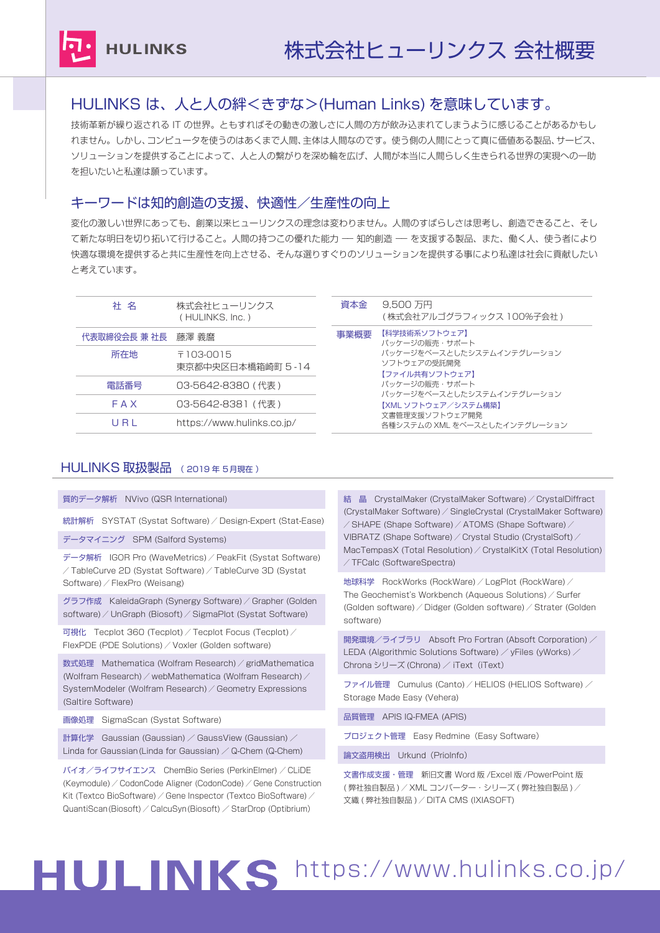

## HULINKS は、人と人の絆<きずな>(Human Links) を意味しています。

技術革新が繰り返される IT の世界。ともすればその動きの激しさに人間の方が飲み込まれてしまうように感じることがあるかもし れません。しかし、コンピュータを使うのはあくまで人間、主体は人間なのです。使う側の人間にとって真に価値ある製品、サービス、 ソリューションを提供することによって、人と人の繋がりを深め輪を広げ、人間が本当に人間らしく生きられる世界の実現への一助 を担いたいと私達は願っています。

## キーワードは知的創造の支援、快適性/生産性の向上

変化の激しい世界にあっても、創業以来ヒューリンクスの理念は変わりません。人間のすばらしさは思考し、創造できること、そし て新たな明日を切り拓いて行けること。人間の持つこの優れた能力 –– 知的創造 –– を支援する製品、また、働く人、使う者により 快適な環境を提供すると共に生産性を向上させる、そんな選りすぐりのソリューションを提供する事により私達は社会に貢献したい と考えています。

| 社 名                 | 株式会社ヒューリンクス<br>(HULINKS, Inc.)   | 資本金  | 9.500 万円<br>(株式会社アルゴグラフィックス 100%子会社 )                      |
|---------------------|----------------------------------|------|------------------------------------------------------------|
| 代表取締役会長 兼 社長  藤澤 義麿 |                                  | 事業概要 | 【科学技術系ソフトウェア】<br>パッケージの販売・サポート                             |
| 所在地                 | 〒103-0015<br>東京都中央区日本橋箱崎町 5 - 14 |      | パッケージをベースとしたシステムインテグレーション<br>ソフトウェアの受託開発<br>【ファイル共有ソフトウェア】 |
| 電話番号                | 03-5642-8380 (代表)                |      | パッケージの販売・サポート<br>パッケージをベースとしたシステムインテグレーション                 |
| FAX                 | 03-5642-8381 (代表)                |      | 【XML ソフトウェア/システム構築】                                        |
| URL                 | https://www.hulinks.co.jp/       |      | 文書管理支援ソフトウェア開発<br>各種システムの XML をベースとしたインテグレーション             |
|                     |                                  |      |                                                            |

### HULINKS 取扱製品 ( 2019 年 5月現在 )

質的データ解析 NVivo (QSR International)

統計解析 SYSTAT (Systat Software) / Design-Expert (Stat-Ease)

データマイニング SPM (Salford Systems)

データ解析 IGOR Pro (WaveMetrics) / PeakFit (Systat Software) / TableCurve 2D (Systat Software) / TableCurve 3D (Systat Software) / FlexPro (Weisang)

グラフ作成 KaleidaGraph (Synergy Software) / Grapher (Golden software) / UnGraph (Biosoft) / SigmaPlot (Systat Software)

可視化 Tecplot 360 (Tecplot) / Tecplot Focus (Tecplot) / FlexPDE (PDE Solutions) / Voxler (Golden software)

数式処理 Mathematica (Wolfram Research) / gridMathematica (Wolfram Research) / webMathematica (Wolfram Research) / SystemModeler (Wolfram Research) / Geometry Expressions (Saltire Software)

画像処理 SigmaScan (Systat Software)

計算化学 Gaussian (Gaussian) / GaussView (Gaussian) / Linda for Gaussian (Linda for Gaussian)  $\angle$  Q-Chem (Q-Chem)

バイオ/ライフサイエンス ChemBio Series (PerkinElmer) / CLiDE (Keymodule) / CodonCode Aligner (CodonCode) / Gene Construction Kit (Textco BioSoftware) / Gene Inspector (Textco BioSoftware) / QuantiScan(Biosoft) / CalcuSyn(Biosoft) / StarDrop (Optibrium)

結 晶 CrystalMaker (CrystalMaker Software) / CrystalDiffract (CrystalMaker Software) / SingleCrystal (CrystalMaker Software) / SHAPE (Shape Software) / ATOMS (Shape Software) / VIBRATZ (Shape Software) / Crystal Studio (CrystalSoft) / MacTempasX (Total Resolution) / CrystalKitX (Total Resolution) / TFCalc (SoftwareSpectra)

地球科学 RockWorks (RockWare) / LogPlot (RockWare) / The Geochemist's Workbench (Aqueous Solutions) / Surfer (Golden software) / Didger (Golden software) / Strater (Golden software)

開発環境/ライブラリ Absoft Pro Fortran (Absoft Corporation) / LEDA (Algorithmic Solutions Software) / yFiles (yWorks) / Chrona シリーズ (Chrona) / iText (iText)

ファイル管理 Cumulus (Canto) / HELIOS (HELIOS Software) / Storage Made Easy (Vehera)

品質管理 APIS IQ-FMEA (APIS)

プロジェクト管理 Easy Redmine (Easy Software)

論文盗用検出 Urkund(PrioInfo)

```
文書作成支援・管理 新旧文書 Word 版 /Excel 版 /PowerPoint 版
( 弊社独自製品 ) / XML コンバーター・シリーズ ( 弊社独自製品 ) /
文織 ( 弊社独自製品 ) / DITA CMS (IXIASOFT)
```
## HULINKS https://www.hulinks.co.jp/